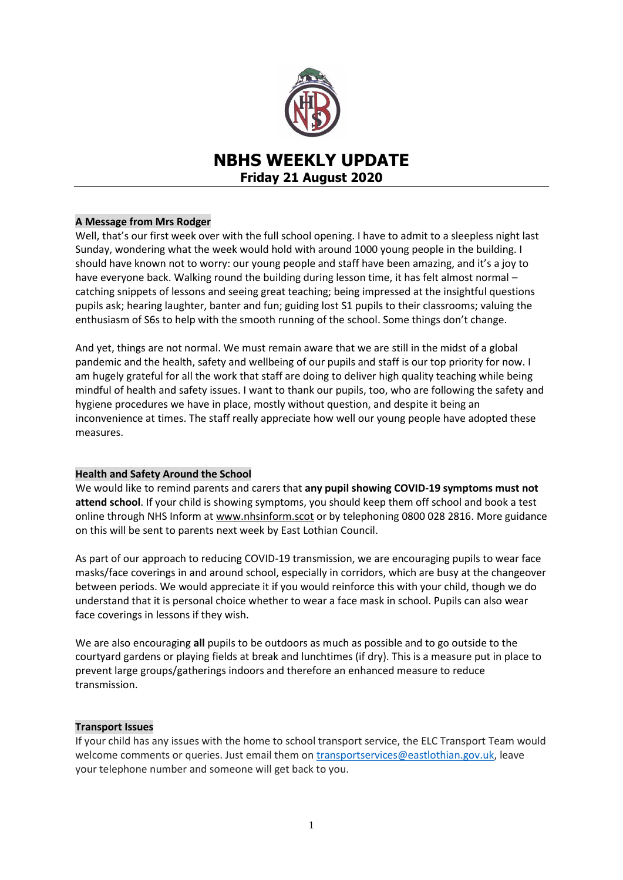

# **NBHS WEEKLY UPDATE Friday 21 August 2020**

# **A Message from Mrs Rodger**

Well, that's our first week over with the full school opening. I have to admit to a sleepless night last Sunday, wondering what the week would hold with around 1000 young people in the building. I should have known not to worry: our young people and staff have been amazing, and it's a joy to have everyone back. Walking round the building during lesson time, it has felt almost normal – catching snippets of lessons and seeing great teaching; being impressed at the insightful questions pupils ask; hearing laughter, banter and fun; guiding lost S1 pupils to their classrooms; valuing the enthusiasm of S6s to help with the smooth running of the school. Some things don't change.

And yet, things are not normal. We must remain aware that we are still in the midst of a global pandemic and the health, safety and wellbeing of our pupils and staff is our top priority for now. I am hugely grateful for all the work that staff are doing to deliver high quality teaching while being mindful of health and safety issues. I want to thank our pupils, too, who are following the safety and hygiene procedures we have in place, mostly without question, and despite it being an inconvenience at times. The staff really appreciate how well our young people have adopted these measures.

# **Health and Safety Around the School**

We would like to remind parents and carers that **any pupil showing COVID-19 symptoms must not attend school**. If your child is showing symptoms, you should keep them off school and book a test online through NHS Inform at [www.nhsinform.scot](http://www.nhsinform.scot/) or by telephoning 0800 028 2816. More guidance on this will be sent to parents next week by East Lothian Council.

As part of our approach to reducing COVID-19 transmission, we are encouraging pupils to wear face masks/face coverings in and around school, especially in corridors, which are busy at the changeover between periods. We would appreciate it if you would reinforce this with your child, though we do understand that it is personal choice whether to wear a face mask in school. Pupils can also wear face coverings in lessons if they wish.

We are also encouraging **all** pupils to be outdoors as much as possible and to go outside to the courtyard gardens or playing fields at break and lunchtimes (if dry). This is a measure put in place to prevent large groups/gatherings indoors and therefore an enhanced measure to reduce transmission.

# **Transport Issues**

If your child has any issues with the home to school transport service, the ELC Transport Team would welcome comments or queries. Just email them on [transportservices@eastlothian.gov.uk,](mailto:transportservices@eastlothian.gov.uk) leave your telephone number and someone will get back to you.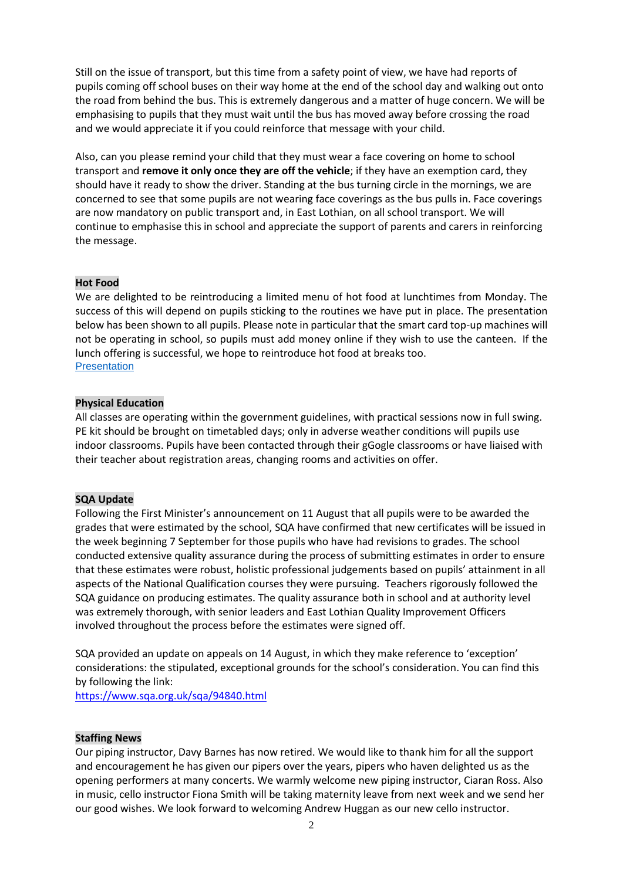Still on the issue of transport, but this time from a safety point of view, we have had reports of pupils coming off school buses on their way home at the end of the school day and walking out onto the road from behind the bus. This is extremely dangerous and a matter of huge concern. We will be emphasising to pupils that they must wait until the bus has moved away before crossing the road and we would appreciate it if you could reinforce that message with your child.

Also, can you please remind your child that they must wear a face covering on home to school transport and **remove it only once they are off the vehicle**; if they have an exemption card, they should have it ready to show the driver. Standing at the bus turning circle in the mornings, we are concerned to see that some pupils are not wearing face coverings as the bus pulls in. Face coverings are now mandatory on public transport and, in East Lothian, on all school transport. We will continue to emphasise this in school and appreciate the support of parents and carers in reinforcing the message.

## **Hot Food**

We are delighted to be reintroducing a limited menu of hot food at lunchtimes from Monday. The success of this will depend on pupils sticking to the routines we have put in place. The presentation below has been shown to all pupils. Please note in particular that the smart card top-up machines will not be operating in school, so pupils must add money online if they wish to use the canteen. If the lunch offering is successful, we hope to reintroduce hot food at breaks too. **[Presentation](https://docs.google.com/presentation/d/e/2PACX-1vT4p_e9Z6w9fGA56xoUCEDOp5_ikKRjimxIrGbM2QjQCaWRPYHgUIkAwDrpRJWtNmXQyuEWa96A4G8Y/pub?start=false&loop=false&delayms=60000)** 

#### **Physical Education**

All classes are operating within the government guidelines, with practical sessions now in full swing. PE kit should be brought on timetabled days; only in adverse weather conditions will pupils use indoor classrooms. Pupils have been contacted through their gGogle classrooms or have liaised with their teacher about registration areas, changing rooms and activities on offer.

#### **SQA Update**

Following the First Minister's announcement on 11 August that all pupils were to be awarded the grades that were estimated by the school, SQA have confirmed that new certificates will be issued in the week beginning 7 September for those pupils who have had revisions to grades. The school conducted extensive quality assurance during the process of submitting estimates in order to ensure that these estimates were robust, holistic professional judgements based on pupils' attainment in all aspects of the National Qualification courses they were pursuing. Teachers rigorously followed the SQA guidance on producing estimates. The quality assurance both in school and at authority level was extremely thorough, with senior leaders and East Lothian Quality Improvement Officers involved throughout the process before the estimates were signed off.

SQA provided an update on appeals on 14 August, in which they make reference to 'exception' considerations: the stipulated, exceptional grounds for the school's consideration. You can find this by following the link:

<https://www.sqa.org.uk/sqa/94840.html>

#### **Staffing News**

Our piping instructor, Davy Barnes has now retired. We would like to thank him for all the support and encouragement he has given our pipers over the years, pipers who haven delighted us as the opening performers at many concerts. We warmly welcome new piping instructor, Ciaran Ross. Also in music, cello instructor Fiona Smith will be taking maternity leave from next week and we send her our good wishes. We look forward to welcoming Andrew Huggan as our new cello instructor.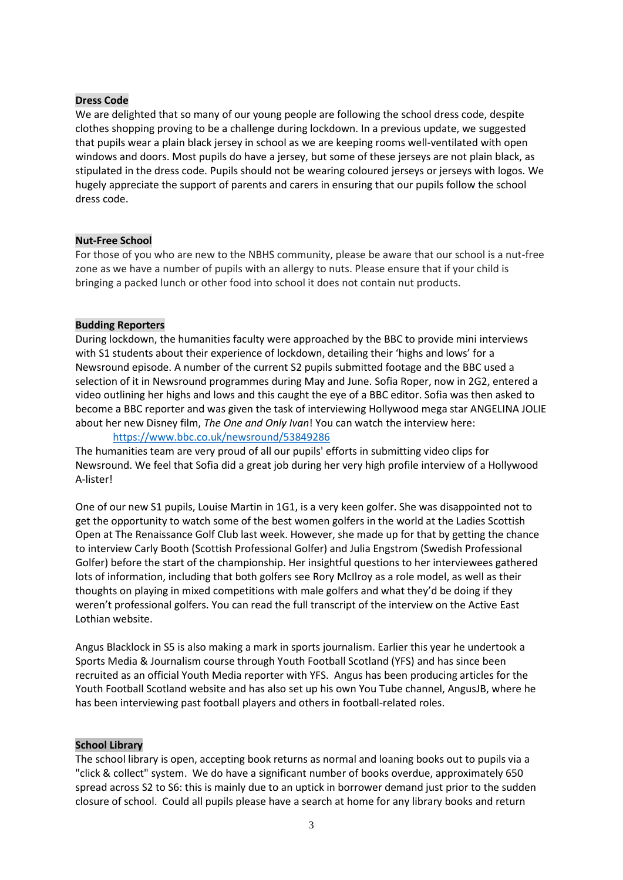## **Dress Code**

We are delighted that so many of our young people are following the school dress code, despite clothes shopping proving to be a challenge during lockdown. In a previous update, we suggested that pupils wear a plain black jersey in school as we are keeping rooms well-ventilated with open windows and doors. Most pupils do have a jersey, but some of these jerseys are not plain black, as stipulated in the dress code. Pupils should not be wearing coloured jerseys or jerseys with logos. We hugely appreciate the support of parents and carers in ensuring that our pupils follow the school dress code.

## **Nut-Free School**

For those of you who are new to the NBHS community, please be aware that our school is a nut-free zone as we have a number of pupils with an allergy to nuts. Please ensure that if your child is bringing a packed lunch or other food into school it does not contain nut products.

## **Budding Reporters**

During lockdown, the humanities faculty were approached by the BBC to provide mini interviews with S1 students about their experience of lockdown, detailing their 'highs and lows' for a Newsround episode. A number of the current S2 pupils submitted footage and the BBC used a selection of it in Newsround programmes during May and June. Sofia Roper, now in 2G2, entered a video outlining her highs and lows and this caught the eye of a BBC editor. Sofia was then asked to become a BBC reporter and was given the task of interviewing Hollywood mega star ANGELINA JOLIE about her new Disney film, *The One and Only Ivan*! You can watch the interview here:

<https://www.bbc.co.uk/newsround/53849286>

The humanities team are very proud of all our pupils' efforts in submitting video clips for Newsround. We feel that Sofia did a great job during her very high profile interview of a Hollywood A-lister!

One of our new S1 pupils, Louise Martin in 1G1, is a very keen golfer. She was disappointed not to get the opportunity to watch some of the best women golfers in the world at the Ladies Scottish Open at The Renaissance Golf Club last week. However, she made up for that by getting the chance to interview Carly Booth (Scottish Professional Golfer) and Julia Engstrom (Swedish Professional Golfer) before the start of the championship. Her insightful questions to her interviewees gathered lots of information, including that both golfers see Rory McIlroy as a role model, as well as their thoughts on playing in mixed competitions with male golfers and what they'd be doing if they weren't professional golfers. You can read the full transcript of the interview on the Active East Lothian website.

Angus Blacklock in S5 is also making a mark in sports journalism. Earlier this year he undertook a Sports Media & Journalism course through Youth Football Scotland (YFS) and has since been recruited as an official Youth Media reporter with YFS. Angus has been producing articles for the Youth Football Scotland website and has also set up his own You Tube channel, AngusJB, where he has been interviewing past football players and others in football-related roles.

# **School Library**

The school library is open, accepting book returns as normal and loaning books out to pupils via a "click & collect" system. We do have a significant number of books overdue, approximately 650 spread across S2 to S6: this is mainly due to an uptick in borrower demand just prior to the sudden closure of school. Could all pupils please have a search at home for any library books and return